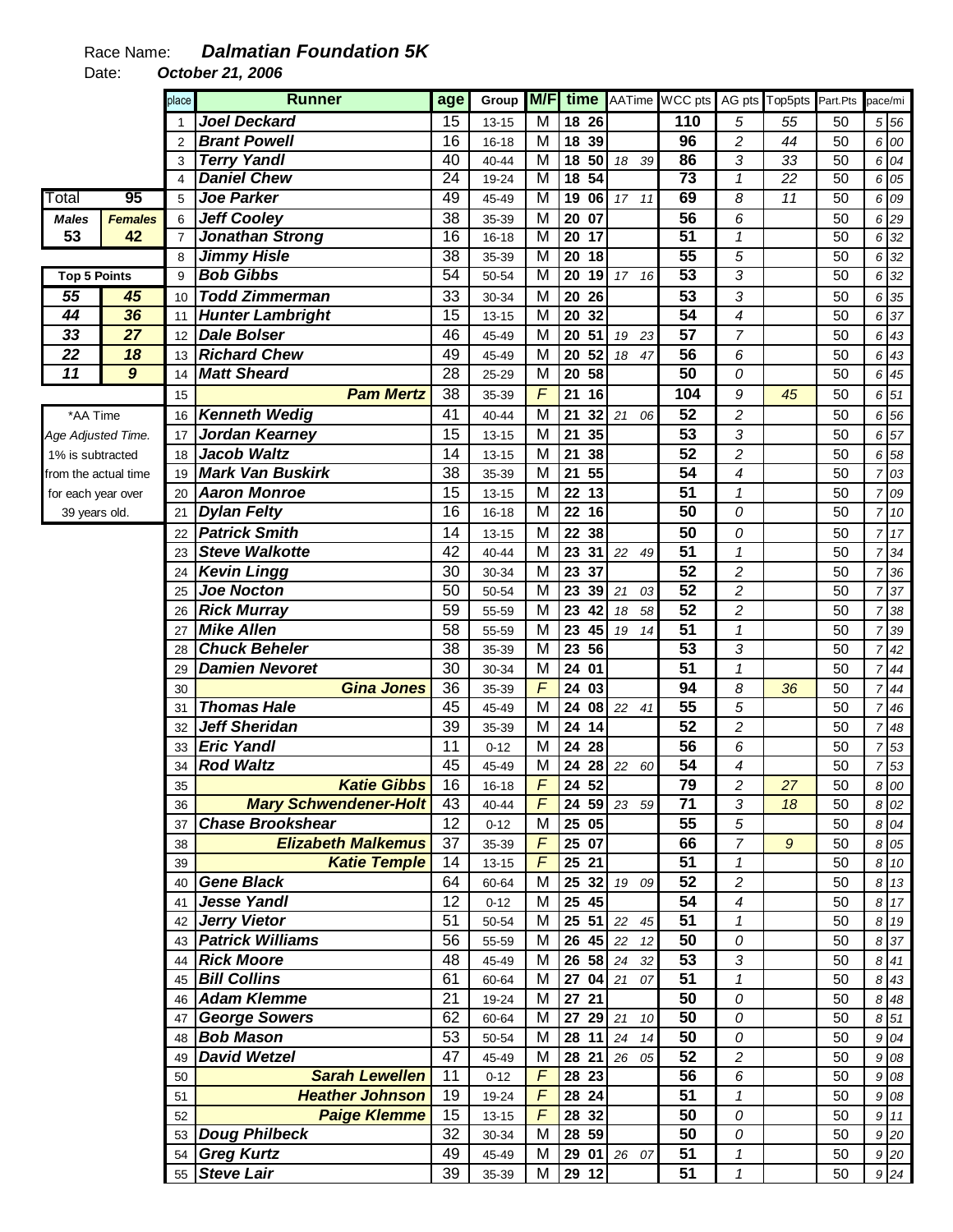## Race Name: **Dalmatian Foundation 5K**

Date: **October 21, 2006** 

|                      |                | place          | <b>Runner</b>                | age             | Group     | M/F                     | time           |             | AATime WCC pts   |                         | AG pts Top5pts  | Part.Pts        | pace/mi        |                  |
|----------------------|----------------|----------------|------------------------------|-----------------|-----------|-------------------------|----------------|-------------|------------------|-------------------------|-----------------|-----------------|----------------|------------------|
|                      |                | 1              | <b>Joel Deckard</b>          | 15              | 13-15     | M                       | 18 26          |             | $\overline{110}$ | 5                       | 55              | 50              |                | 5 56             |
|                      |                | $\overline{2}$ | <b>Brant Powell</b>          | 16              | $16 - 18$ | M                       | 18 39          |             | 96               | $\overline{c}$          | 44              | 50              |                | 6 00             |
|                      |                | 3              | <b>Terry Yandl</b>           | 40              | 40-44     | M                       | 18 50          | 18 39       | 86               | 3                       | 33              | 50              |                | 6 04             |
|                      |                | $\overline{4}$ | <b>Daniel Chew</b>           | $\overline{24}$ | 19-24     | $\overline{\mathsf{M}}$ | 18 54          |             | $\overline{73}$  | $\mathbf{1}$            | $\overline{22}$ | $\overline{50}$ | 6              | 05               |
| Total                | 95             | 5              | <b>Joe Parker</b>            | 49              | 45-49     | M                       | 1906           | 17 11       | 69               | 8                       | 11              | 50              |                | 6 09             |
| <b>Males</b>         | <b>Females</b> | 6              | <b>Jeff Cooley</b>           | 38              | 35-39     | M                       | 20 07          |             | 56               | 6                       |                 | 50              |                | 6 29             |
| 53                   | 42             | $\overline{7}$ | <b>Jonathan Strong</b>       | 16              | $16 - 18$ | M                       | $20$ 17        |             | 51               | $\overline{\mathbf{1}}$ |                 | $\overline{50}$ |                | 6 32             |
|                      |                | 8              | <b>Jimmy Hisle</b>           | $\overline{38}$ | 35-39     | M                       | $20$ 18        |             | 55               | 5                       |                 | 50              |                | 6 32             |
| <b>Top 5 Points</b>  |                | 9              | <b>Bob Gibbs</b>             | 54              | 50-54     | M                       | 20 19          | 17 16       | 53               | $\overline{3}$          |                 | 50              | 6              | 32               |
| 55                   | 45             | 10             | <b>Todd Zimmerman</b>        | 33              | 30-34     | M                       | 20 26          |             | $\overline{53}$  | 3                       |                 | 50              |                | 6 35             |
| 44                   | 36             | 11             | <b>Hunter Lambright</b>      | 15              | $13 - 15$ | M                       | 20<br>32       |             | 54               | 4                       |                 | 50              |                | 6 37             |
| 33                   | 27             | 12             | <b>Dale Bolser</b>           | 46              | 45-49     | м                       | 20<br>51       | 19<br>23    | $\overline{57}$  | 7                       |                 | 50              | 6              | 43               |
| $\overline{22}$      | 18             | 13             | <b>Richard Chew</b>          | 49              | 45-49     | M                       | 20<br>52       | 18<br>47    | $\overline{56}$  | 6                       |                 | 50              |                | 6 43             |
| 11                   | $\overline{g}$ | 14             | <b>Matt Sheard</b>           | 28              | 25-29     | M                       | 20 58          |             | 50               | 0                       |                 | 50              | 6              | 45               |
|                      |                | 15             | <b>Pam Mertz</b>             | 38              | 35-39     | $\overline{F}$          | 21<br>16       |             | 104              | 9                       | 45              | 50              |                | $6\overline{51}$ |
| *AA Time             |                | 16             | <b>Kenneth Wedig</b>         | 41              | 40-44     | M                       | 21             | 32 21 06    | $\overline{52}$  | $\overline{c}$          |                 | 50              |                | 6 56             |
| Age Adjusted Time.   |                | 17             | Jordan Kearney               | 15              | $13 - 15$ | M                       | 21<br>35       |             | $\overline{53}$  | 3                       |                 | 50              |                | 6 57             |
| 1% is subtracted     |                | 18             | <b>Jacob Waltz</b>           | 14              | 13-15     | M                       | 21<br>38       |             | $\overline{52}$  | $\overline{\mathbf{c}}$ |                 | 50              | 6              | 58               |
| from the actual time |                | 19             | <b>Mark Van Buskirk</b>      | 38              | 35-39     | M                       | 55<br>21       |             | $\overline{54}$  | 4                       |                 | 50              |                | 703              |
| for each year over   |                | 20             | <b>Aaron Monroe</b>          | 15              | $13 - 15$ | M                       | 22 13          |             | $\overline{51}$  | $\mathcal I$            |                 | 50              | 7              | 09               |
| 39 years old.        |                | 21             | <b>Dylan Felty</b>           | 16              | $16 - 18$ | M                       | 22 16          |             | 50               | 0                       |                 | 50              |                | 7 10             |
|                      |                | 22             | <b>Patrick Smith</b>         | 14              | $13 - 15$ | M                       | 22 38          |             | 50               | 0                       |                 | 50              |                | 7 17             |
|                      |                | 23             | <b>Steve Walkotte</b>        | 42              | $40 - 44$ | M                       | 23 31          | 22 49       | 51               | $\mathbf{1}$            |                 | 50              |                | 734              |
|                      |                | 24             | <b>Kevin Lingg</b>           | 30              | 30-34     | M                       | 23 37          |             | 52               | $\overline{c}$          |                 | 50              | $\overline{7}$ | 36               |
|                      |                | 25             | Joe Nocton                   | 50              | 50-54     | M                       | 23 39          | 21<br>03    | $\overline{52}$  | $\overline{c}$          |                 | 50              | $\overline{7}$ | 37               |
|                      |                | 26             | <b>Rick Murray</b>           | 59              | 55-59     | M                       | 23<br>42       | 18<br>58    | $\overline{52}$  | $\overline{c}$          |                 | 50              | $\overline{7}$ | 38               |
|                      |                | 27             | <b>Mike Allen</b>            | 58              | 55-59     | M                       | 23<br>45       | 19<br>14    | 51               | $\mathbf{1}$            |                 | 50              | $\overline{7}$ | 39               |
|                      |                | 28             | <b>Chuck Beheler</b>         | 38              | 35-39     | M                       | 23<br>56       |             | $\overline{53}$  | 3                       |                 | 50              |                | 742              |
|                      |                | 29             | <b>Damien Nevoret</b>        | 30              | 30-34     | M                       | 24 01          |             | 51               | $\mathbf{1}$            |                 | 50              |                | 744              |
|                      |                | 30             | <b>Gina Jones</b>            | 36              | 35-39     | F                       | 24 03          |             | 94               | 8                       | 36              | 50              | $\overline{7}$ | 44               |
|                      |                | 31             | <b>Thomas Hale</b>           | 45              | 45-49     | M                       | 24 08          | 22<br>41    | $\overline{55}$  | 5                       |                 | 50              | $\overline{7}$ | 46               |
|                      |                | 32             | <b>Jeff Sheridan</b>         | 39              | 35-39     | M                       | 24 14          |             | $\overline{52}$  | $\overline{\mathbf{c}}$ |                 | 50              | $\overline{7}$ | 48               |
|                      |                | 33             | <b>Eric Yandl</b>            | 11              | $0 - 12$  | M                       | 24<br>28       |             | 56               | 6                       |                 | 50              | $\overline{7}$ | 53               |
|                      |                | 34             | <b>Rod Waltz</b>             | 45              | 45-49     | M                       |                | 24 28 22 60 | 54               | 4                       |                 | 50              |                | $7\overline{53}$ |
|                      |                | 35             | <b>Katie Gibbs</b>           | 16              | $16 - 18$ | $\overline{F}$          | 24 52          |             | 79               | $\overline{c}$          | 27              | 50              |                | 8 00             |
|                      |                | 36             | <b>Mary Schwendener-Holt</b> | 43              | 40-44     | F                       |                | 24 59 23 59 | 71               | 3                       | 18              | 50              |                | 8 02             |
|                      |                | 37             | <b>Chase Brookshear</b>      | 12              | $0 - 12$  | M                       | 25 05          |             | 55               | 5                       |                 | 50              |                | 8 04             |
|                      |                | 38             | <b>Elizabeth Malkemus</b>    | 37              | 35-39     | $\sqrt{F}$              | 25 07          |             | 66               | 7                       | 9               | 50              |                | 8 0 5            |
|                      |                | 39             | <b>Katie Temple</b>          | 14              | $13 - 15$ | F                       | 25 21          |             | 51               | $\mathcal{I}$           |                 | 50              |                | 8 10             |
|                      |                | 40             | <b>Gene Black</b>            | 64              | 60-64     | M                       | 25 32          | 19 09       | 52               | $\overline{2}$          |                 | 50              |                | 8 13             |
|                      |                | 41             | <b>Jesse Yandl</b>           | 12              | $0 - 12$  | M                       | 25 45          |             | 54               | 4                       |                 | 50              |                | 8 17             |
|                      |                |                | 42 Jerry Vietor              | 51              | 50-54     | M                       |                | 25 51 22 45 | $\overline{51}$  | $\mathbf{1}$            |                 | 50              |                | 8 19             |
|                      |                |                | 43 <b>Patrick Williams</b>   | 56              | 55-59     | M                       | $26 \t45 \t22$ | 12          | 50               | 0                       |                 | 50              |                | 8 37             |
|                      |                | 44             | <b>Rick Moore</b>            | 48              | 45-49     | м                       | 26 58 24       | 32          | $\overline{53}$  | 3                       |                 | 50              |                | 8 41             |
|                      |                | 45             | <b>Bill Collins</b>          | 61              | 60-64     | М                       | 270421         | 07          | 51               | $\mathbf{1}$            |                 | 50              |                | 8 43             |
|                      |                | 46             | <b>Adam Klemme</b>           | 21              | 19-24     | M                       | 27 21          |             | 50               | 0                       |                 | 50              |                | 8 4 8            |
|                      |                | 47             | <b>George Sowers</b>         | 62              | 60-64     | M                       | 27 29 21       | 10          | 50               | ${\cal O}$              |                 | 50              |                | 8 51             |
|                      |                |                | 48 <b>Bob Mason</b>          | 53              | 50-54     | M                       |                | 28 11 24 14 | 50               | 0                       |                 | 50              |                | 9 04             |
|                      |                | 49             | <b>David Wetzel</b>          | 47              | 45-49     | M                       |                | 28 21 26 05 | $\overline{52}$  | $\overline{c}$          |                 | 50              |                | 9 08             |
|                      |                | 50             | <b>Sarah Lewellen</b>        | 11              | $0 - 12$  | $\sqrt{2}$              | 28 23          |             | 56               | 6                       |                 | 50              |                | 9 08             |
|                      |                | 51             | <b>Heather Johnson</b>       | 19              | 19-24     | $\overline{F}$          | 28 24          |             | 51               | $\mathbf{1}$            |                 | 50              |                | 9 08             |
|                      |                | 52             | <b>Paige Klemme</b>          | 15              | 13-15     | $\sqrt{F}$              | 28 32          |             | 50               | $\cal O$                |                 | 50              |                | 9 11             |
|                      |                |                | 53 Doug Philbeck             | 32              | 30-34     | М                       | 28 59          |             | 50               | ${\cal O}$              |                 | 50              |                | 9 20             |
|                      |                |                | 54 Greg Kurtz                | 49              | 45-49     | M                       |                | 29 01 26 07 | $\overline{51}$  | 1                       |                 | 50              |                | 9 20             |
|                      |                |                | 55 Steve Lair                | 39              | 35-39     | М                       | 29 12          |             | 51               | $\mathbf{1}$            |                 | 50              |                | 9 24             |